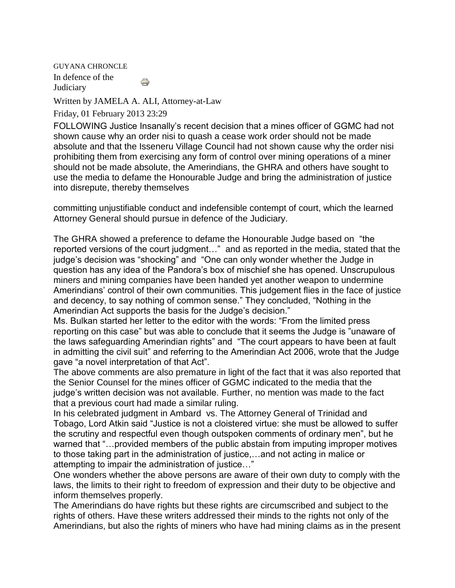GUYANA CHRONCLE In defence of the ÷ **Judiciary** 

Written by JAMELA A. ALI, Attorney-at-Law

Friday, 01 February 2013 23:29

FOLLOWING Justice Insanally's recent decision that a mines officer of GGMC had not shown cause why an order nisi to quash a cease work order should not be made absolute and that the Isseneru Village Council had not shown cause why the order nisi prohibiting them from exercising any form of control over mining operations of a miner should not be made absolute, the Amerindians, the GHRA and others have sought to use the media to defame the Honourable Judge and bring the administration of justice into disrepute, thereby themselves

committing unjustifiable conduct and indefensible contempt of court, which the learned Attorney General should pursue in defence of the Judiciary.

The GHRA showed a preference to defame the Honourable Judge based on "the reported versions of the court judgment…" and as reported in the media, stated that the judge's decision was "shocking" and "One can only wonder whether the Judge in question has any idea of the Pandora's box of mischief she has opened. Unscrupulous miners and mining companies have been handed yet another weapon to undermine Amerindians' control of their own communities. This judgement flies in the face of justice and decency, to say nothing of common sense." They concluded, "Nothing in the Amerindian Act supports the basis for the Judge's decision."

Ms. Bulkan started her letter to the editor with the words: "From the limited press reporting on this case" but was able to conclude that it seems the Judge is "unaware of the laws safeguarding Amerindian rights" and "The court appears to have been at fault in admitting the civil suit" and referring to the Amerindian Act 2006, wrote that the Judge gave "a novel interpretation of that Act".

The above comments are also premature in light of the fact that it was also reported that the Senior Counsel for the mines officer of GGMC indicated to the media that the judge's written decision was not available. Further, no mention was made to the fact that a previous court had made a similar ruling.

In his celebrated judgment in Ambard vs. The Attorney General of Trinidad and Tobago, Lord Atkin said "Justice is not a cloistered virtue: she must be allowed to suffer the scrutiny and respectful even though outspoken comments of ordinary men", but he warned that "...provided members of the public abstain from imputing improper motives to those taking part in the administration of justice,…and not acting in malice or attempting to impair the administration of justice…"

One wonders whether the above persons are aware of their own duty to comply with the laws, the limits to their right to freedom of expression and their duty to be objective and inform themselves properly.

The Amerindians do have rights but these rights are circumscribed and subject to the rights of others. Have these writers addressed their minds to the rights not only of the Amerindians, but also the rights of miners who have had mining claims as in the present